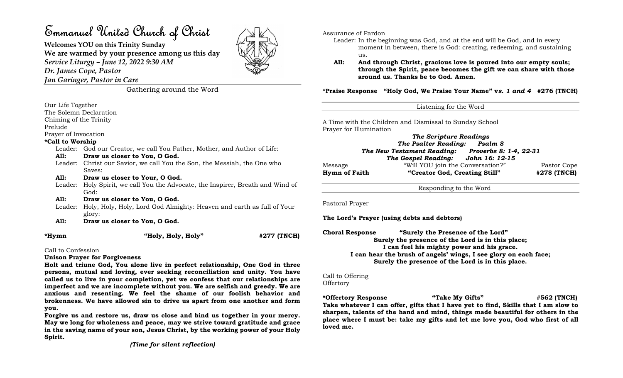# Emmanuel United Church of Christ

Welcomes YOU on this Trinity Sunday We are warmed by your presence among us this day Service Liturgy – June 12, 2022 9:30 AM

Dr. James Cope, Pastor

Jan Garinger, Pastor in Care

Gathering around the Word

Our Life Together

The Solemn Declaration

Chiming of the Trinity

Prelude

Prayer of Invocation

### \*Call to Worship

Leader: God our Creator, we call You Father, Mother, and Author of Life: All: Draw us closer to You, O God.

- Leader: Christ our Savior, we call You the Son, the Messiah, the One who Saves:
- All: Draw us closer to Your, O God.
- Leader: Holy Spirit, we call You the Advocate, the Inspirer, Breath and Wind of God:

#### All: Draw us closer to You, O God.

- Leader: Holy, Holy, Holy, Lord God Almighty: Heaven and earth as full of Your glory:
- All: Draw us closer to You, O God.

\*Hymn "Holy, Holy, Holy" #277 (TNCH)

Call to Confession

#### Unison Prayer for Forgiveness

Holt and triune God, You alone live in perfect relationship, One God in three persons, mutual and loving, ever seeking reconciliation and unity. You have called us to live in your completion, yet we confess that our relationships are imperfect and we are incomplete without you. We are selfish and greedy. We are anxious and resenting. We feel the shame of our foolish behavior and brokenness. We have allowed sin to drive us apart from one another and form you.

Forgive us and restore us, draw us close and bind us together in your mercy. May we long for wholeness and peace, may we strive toward gratitude and grace in the saving name of your son, Jesus Christ, by the working power of your Holy Spirit.

(Time for silent reflection)

Assurance of Pardon

- Leader: In the beginning was God, and at the end will be God, and in every moment in between, there is God: creating, redeeming, and sustaining us.
- All: And through Christ, gracious love is poured into our empty souls; through the Spirit, peace becomes the gift we can share with those around us. Thanks be to God. Amen.

\*Praise Response "Holy God, We Praise Your Name" vs. 1 and 4 #276 (TNCH)

A Time with the Children and Dismissal to Sunday School Prayer for Illumination

The Scripture Readings The Psalter Reading: Psalm 8 The New Testament Reading: Proverbs 8: 1-4, 22-31 The Gospel Reading: John 16: 12-15 Message "Will YOU join the Conversation?" Pastor Cope Hymn of Faith "Creator God, Creating Still" #278 (TNCH)

Responding to the Word

Pastoral Prayer

The Lord's Prayer (using debts and debtors)

Choral Response "Surely the Presence of the Lord" Surely the presence of the Lord is in this place; I can feel his mighty power and his grace. I can hear the brush of angels' wings, I see glory on each face; Surely the presence of the Lord is in this place.

## Call to Offering

**Offertory** 

\*Offertory Response "Take My Gifts" #562 (TNCH) Take whatever I can offer, gifts that I have yet to find, Skills that I am slow to sharpen, talents of the hand and mind, things made beautiful for others in the place where I must be: take my gifts and let me love you, God who first of all loved me.